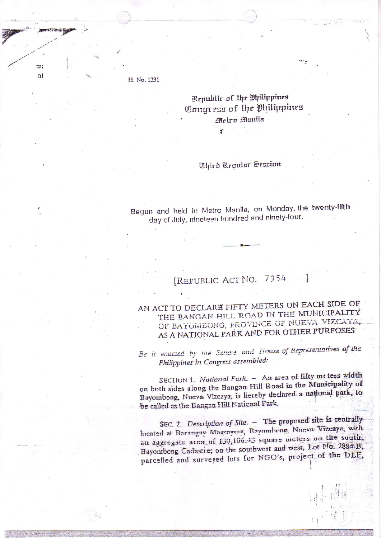H. No. 1231

**NESTRINGS** 

W:  $\Omega$ 

## Republic of the Philippines Congress of the Philippines Metro Manila

 $27.353$ 

ġ.

## **Whird Regular Session**

Begun and held in Metro Manila, on Monday, the twenty-fifth day of July, nineteen hundred and ninety-four.

## [REFUBLIC ACT NO. 7954 1

AN ACT TO DECLARE FIFTY METERS ON EACH SIDE OF THE BANGAN HILL ROAD IN THE MUNICIPALITY OF BAYOMBONG, FROVINCE OF NUEVA VIZCAYA, AS A NATIONAL PARK AND FOR OTHER PURPOSES

Be it enacted by the Senate and House of Representatives of the Philippines in Congress assembled:

SECIION 1. National Fark. - An area of fifty me ters width on both sides along the Bangan Hill Road in the Municipality of Bayombong, Nueva Vizcaya, is hereby declared a national park, to be called as the Bangan Hill National Park.

SEC. 2. Description of Site. - The proposed site is centrally located at Barangay Magsaysay, Bayombong, Nueva Vizcaya, with au aggregate area of 130,106.43 square meters on the south, Bayombong Cadastre; on the southwest and west, Lot No. 2884 B, parcelled and surveyed lots for NGO's, project of the DLF,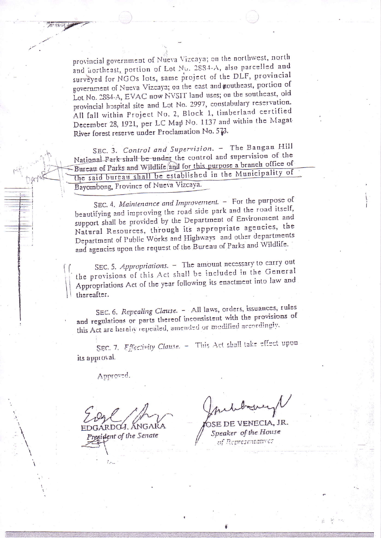provincial government of Nueva Vizcaya; on the northwest, north and hortheast, portion of Lot No. 2884-A, also parcelled and surveyed for NGOs lots, same project of the DLF, provincial government of Nueva Vizcaya; on the east and southeast, portion of Lot No. 2884-A, EVAC now NVSIT land uses; on the southeast, old provincial hospital site and Lot No. 2997, constabulary reservation. All fall within Project No. 2, Block 1, timberland certified December 28, 1921, per LC Map No. 1137 and within the Magat-River forest reserve under Proclamation No. 573.

SEC. 3. Control and Supervision. - The Bangan Hill National Park shall be under the control and supervision of the Bureau of Parks and Wildlife and for this purpose a branch office of the said bureau shall be established in the Municipality of Bayombong, Province of Nueva Vizcaya.

SEC. 4. Maintenance and Improvement. - For the purpose of beautifying and improving the road side park and the road itself, support shall be provided by the Department of Environment and Natural Resources, through its appropriate agencies, the Department of Public Works and Highways and other departments and agencies upon the request of the Bureau of Parks and Wildlife.

SEC. 5. Appropriations. - The amount necessary to carry out the provisions of this Act shall be included in the General Appropriations Act of the year following its enactment into law and therealter.

SEC. 6. Repealing Clause. - All laws, orders, issuances, rules and regulations or parts thereof inconsistent with the provisions of this Act are hereby repealed, amended or modified accordingly.

SEC. 7. Effectivity Clause. - This Act shall take effect upon its approval.

Approved.

RDOJ. ANGARA lent of the Senate

OSE DE VENECIA, JR. Speaker of the House of Representatives

 $\mathcal{B}=\mathcal{B}^{1\times n}$  is